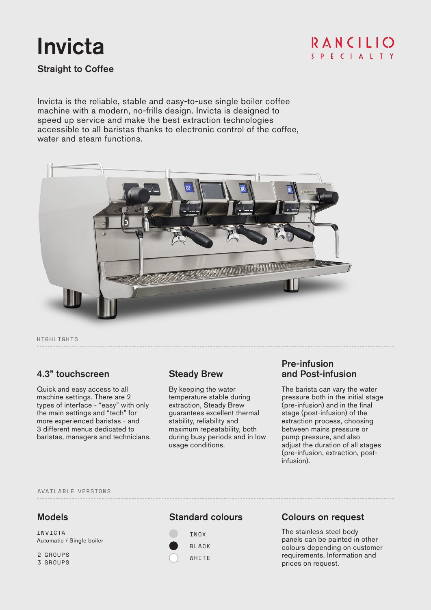# Invicta

RANCILIO S P E C I A L T Y

Straight to Coffee

Invicta is the reliable, stable and easy-to-use single boiler coffee machine with a modern, no-frills design. Invicta is designed to speed up service and make the best extraction technologies accessible to all baristas thanks to electronic control of the coffee, water and steam functions.



HIGHLIGHTS

# 4.3" touchscreen Steady Brew

Quick and easy access to all machine settings. There are 2 types of interface - "easy" with only the main settings and "tech" for more experienced baristas - and 3 different menus dedicated to baristas, managers and technicians.

By keeping the water temperature stable during extraction, Steady Brew guarantees excellent thermal stability, reliability and maximum repeatability, both during busy periods and in low usage conditions.

## Pre-infusion and Post-infusion

The barista can vary the water pressure both in the initial stage (pre-infusion) and in the final stage (post-infusion) of the extraction process, choosing between mains pressure or pump pressure, and also adjust the duration of all stages (pre-infusion, extraction, postinfusion).

AVAILABLE VERSIONS

Automatic / Single boiler INVICTA

2 GROUPS

3 GROUPS

## Models **Standard colours**



# Colours on request

The stainless steel body panels can be painted in other colours depending on customer requirements. Information and prices on request.